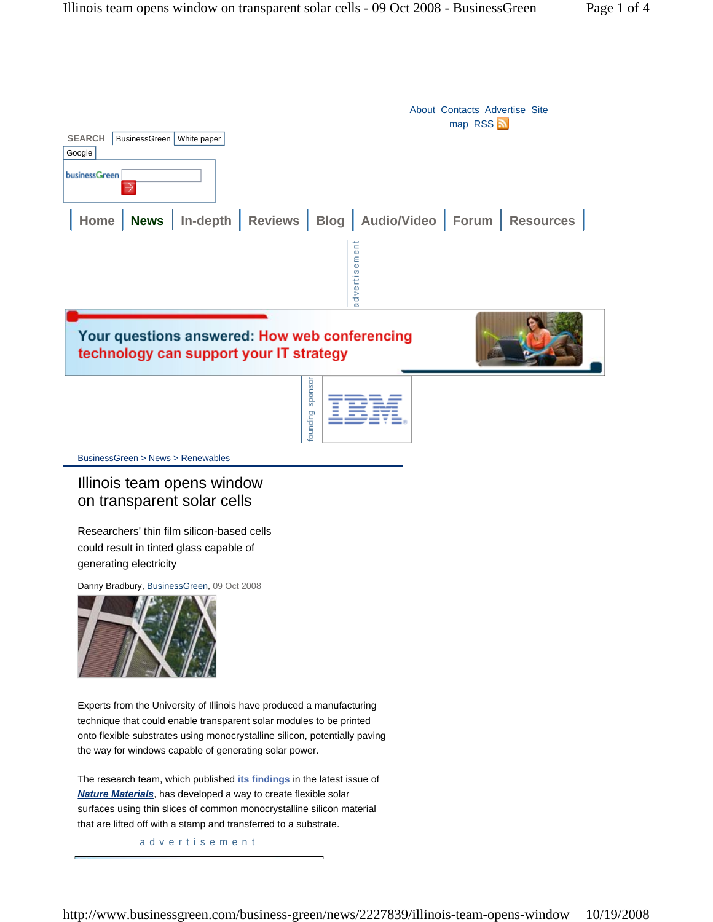

# Illinois team opens window on transparent solar cells

Researchers' thin film silicon-based cells could result in tinted glass capable of generating electricity

Danny Bradbury, BusinessGreen, 09 Oct 2008



Experts from the University of Illinois have produced a manufacturing technique that could enable transparent solar modules to be printed onto flexible substrates using monocrystalline silicon, potentially paving the way for windows capable of generating solar power.

The research team, which published **its findings** in the latest issue of *Nature Materials*, has developed a way to create flexible solar surfaces using thin slices of common monocrystalline silicon material that are lifted off with a stamp and transferred to a substrate.

advertisement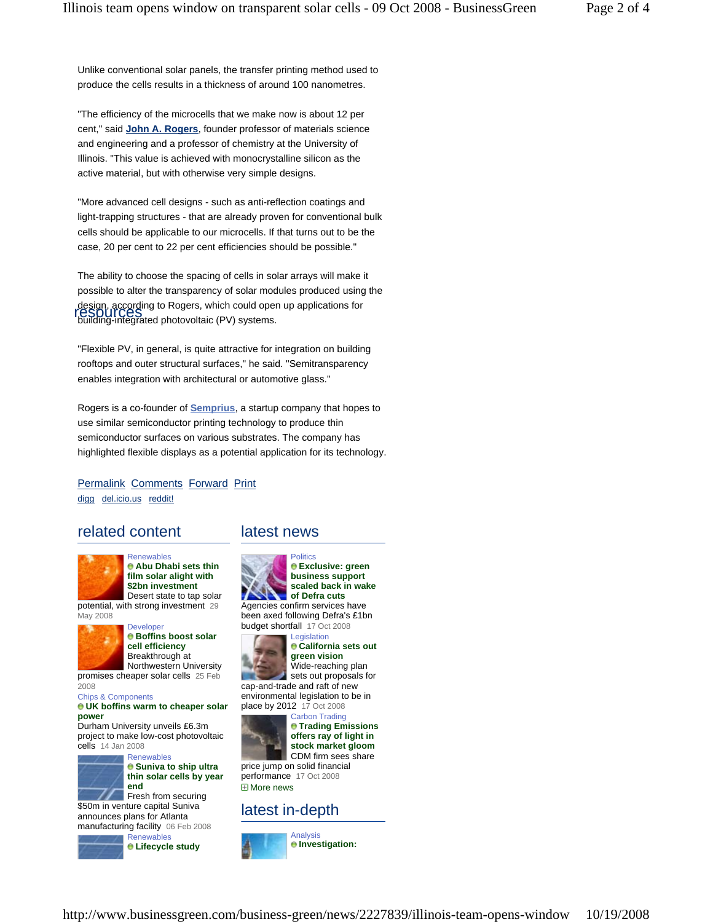Unlike conventional solar panels, the transfer printing method used to produce the cells results in a thickness of around 100 nanometres.

"The efficiency of the microcells that we make now is about 12 per cent," said **John A. Rogers**, founder professor of materials science and engineering and a professor of chemistry at the University of Illinois. "This value is achieved with monocrystalline silicon as the active material, but with otherwise very simple designs.

"More advanced cell designs - such as anti-reflection coatings and light-trapping structures - that are already proven for conventional bulk cells should be applicable to our microcells. If that turns out to be the case, 20 per cent to 22 per cent efficiencies should be possible."

The ability to choose the spacing of cells in solar arrays will make it possible to alter the transparency of solar modules produced using the design, according to Rogers, which could open up applications for design, according to Rogers, which could open<br>**resourcess**<br>building-integrated photovoltaic (PV) systems.

"Flexible PV, in general, is quite attractive for integration on building rooftops and outer structural surfaces," he said. "Semitransparency enables integration with architectural or automotive glass."

Rogers is a co-founder of **Semprius**, a startup company that hopes to use similar semiconductor printing technology to produce thin semiconductor surfaces on various substrates. The company has highlighted flexible displays as a potential application for its technology.

Permalink Comments Forward Print digg del.icio.us reddit!

## related content latest news



**Renewables Abu Dhabi sets thin film solar alight with \$2bn investment** Desert state to tap solar

potential, with strong investment 29 May 2008



**Developer Boffins boost solar cell efficiency** Breakthrough at Northwestern University

promises cheaper solar cells 25 Feb 2008

Chips & Components

#### **UK boffins warm to cheaper solar power**

Durham University unveils £6.3m project to make low-cost photovoltaic cells 14 Jan 2008



**Renewables Suniva to ship ultra thin solar cells by year end**

**Fresh from securing** \$50m in venture capital Suniva announces plans for Atlanta manufacturing facility 06 Feb 2008



Renewables **Lifecycle study** 



**Exclusive: green business support scaled back in wake of Defra cuts**

Agencies confirm services have been axed following Defra's £1bn budget shortfall 17 Oct 2008 **Legislation** 



**California sets out green vision** Wide-reaching plan sets out proposals for cap-and-trade and raft of new

environmental legislation to be in place by 2012 17 Oct 2008 Carbon Trading



 $\theta$  **Trading Emissions offers ray of light in stock market gloom** CDM firm sees share

**⊞** More news price jump on solid financial performance 17 Oct 2008

## latest in-depth

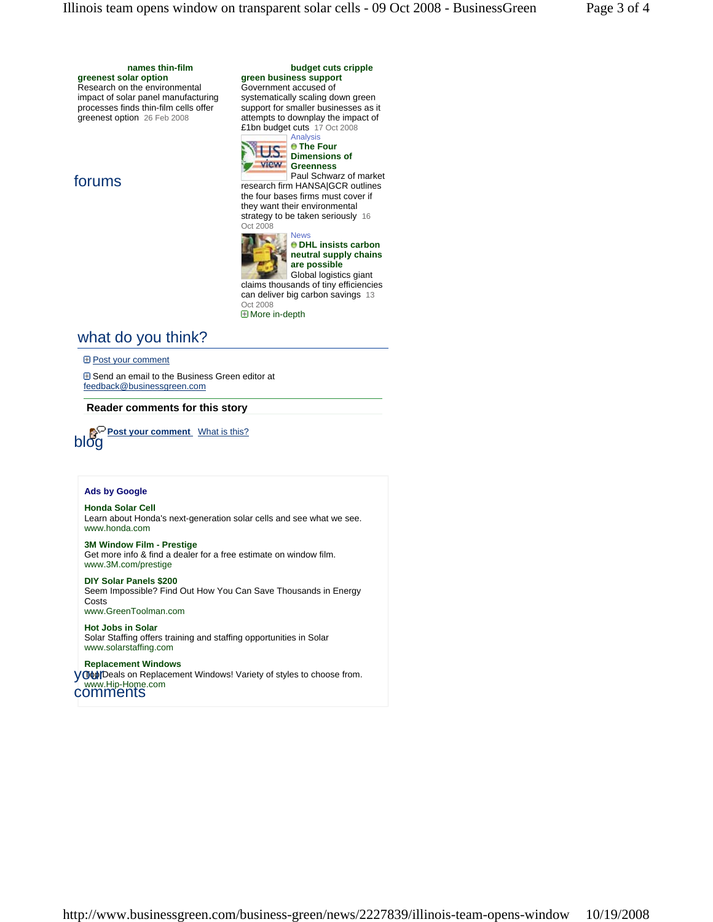**greenest solar option** Research on the environmental impact of solar panel manufacturing processes finds thin-film cells offer greenest option 26 Feb 2008

## forums

**budget cuts cripple** 

### **green business support** Government accused of

systematically scaling down green support for smaller businesses as it attempts to downplay the impact of £1bn budget cuts 17 Oct 2008 Analysis



**The Four Dimensions of View** Greenness

News

Paul Schwarz of market research firm HANSA|GCR outlines the four bases firms must cover if they want their environmental strategy to be taken seriously 16 Oct 2008



**DHL insists carbon neutral supply chains are possible**

Global logistics giant claims thousands of tiny efficiencies can deliver big carbon savings 13 Oct 2008

More in-depth

# what do you think?

**E Post your comment** 

 Send an email to the Business Green editor at feedback@businessgreen.com

**Reader comments for this story**



## **Ads by Google**

**Honda Solar Cell** Learn about Honda's next-generation solar cells and see what we see. www.honda.com

**3M Window Film - Prestige** Get more info & find a dealer for a free estimate on window film. www.3M.com/prestige

**DIY Solar Panels \$200** Seem Impossible? Find Out How You Can Save Thousands in Energy **Costs** www.GreenToolman.com

**Hot Jobs in Solar** Solar Staffing offers training and staffing opportunities in Solar www.solarstaffing.com

**Replacement Windows Top Deals on Replacement Windows! Variety of styles to choose from.** your<br>Www.Hip-Home.com comments